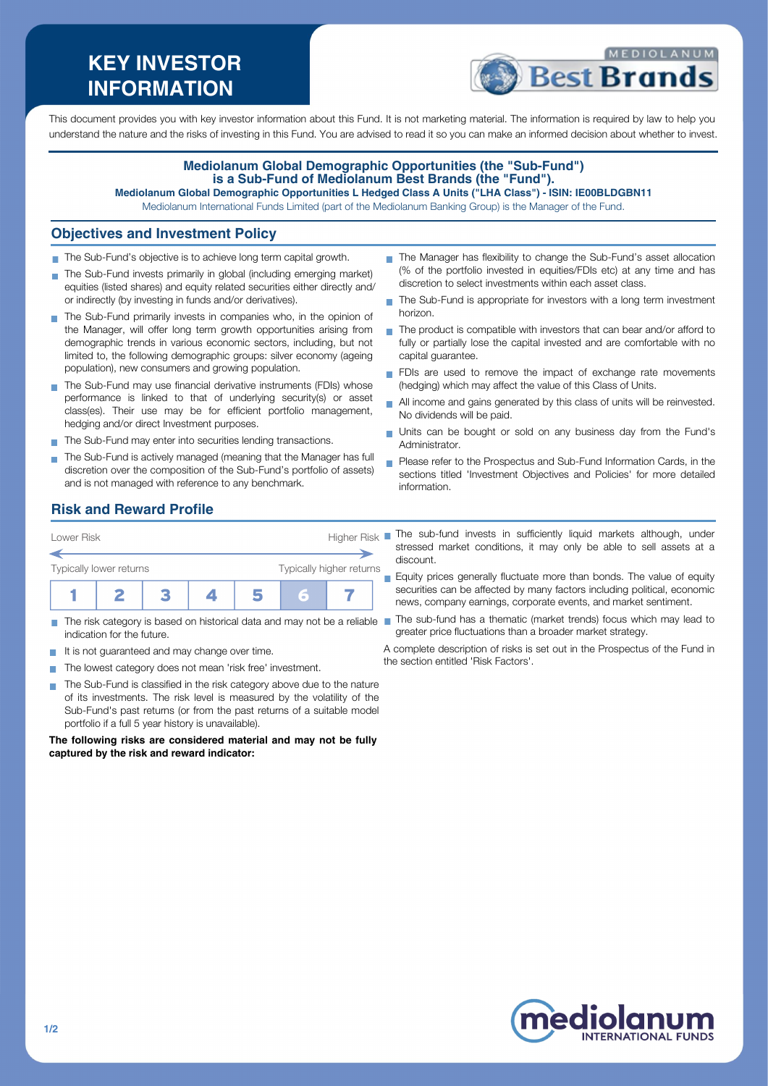# **KEY INVESTOR INFORMATION**



This document provides you with key investor information about this Fund. It is not marketing material. The information is required by law to help you understand the nature and the risks of investing in this Fund. You are advised to read it so you can make an informed decision about whether to invest.

#### **Mediolanum Global Demographic Opportunities (the "Sub-Fund") is a Sub-Fund of Mediolanum Best Brands (the "Fund"). Mediolanum Global Demographic Opportunities L Hedged Class A Units ("LHA Class") - ISIN: IE00BLDGBN11**

Mediolanum International Funds Limited (part of the Mediolanum Banking Group) is the Manager of the Fund.

#### **Objectives and Investment Policy**

- The Sub-Fund's objective is to achieve long term capital growth.
- The Sub-Fund invests primarily in global (including emerging market) equities (listed shares) and equity related securities either directly and/ or indirectly (by investing in funds and/or derivatives).
- The Sub-Fund primarily invests in companies who, in the opinion of the Manager, will offer long term growth opportunities arising from demographic trends in various economic sectors, including, but not limited to, the following demographic groups: silver economy (ageing population), new consumers and growing population.
- The Sub-Fund may use financial derivative instruments (FDIs) whose performance is linked to that of underlying security(s) or asset class(es). Their use may be for efficient portfolio management, hedging and/or direct Investment purposes.
- The Sub-Fund may enter into securities lending transactions.
- The Sub-Fund is actively managed (meaning that the Manager has full discretion over the composition of the Sub-Fund's portfolio of assets) and is not managed with reference to any benchmark.
- The Manager has flexibility to change the Sub-Fund's asset allocation (% of the portfolio invested in equities/FDIs etc) at any time and has discretion to select investments within each asset class.
- The Sub-Fund is appropriate for investors with a long term investment horizon.
- $\blacksquare$  The product is compatible with investors that can bear and/or afford to fully or partially lose the capital invested and are comfortable with no capital guarantee.
- FDIs are used to remove the impact of exchange rate movements (hedging) which may affect the value of this Class of Units.
- All income and gains generated by this class of units will be reinvested. No dividends will be paid.
- Units can be bought or sold on any business day from the Fund's Administrator.
- **Please refer to the Prospectus and Sub-Fund Information Cards, in the** sections titled 'Investment Objectives and Policies' for more detailed information.

### **Risk and Reward Profile**



- П indication for the future.
- It is not guaranteed and may change over time.
- The lowest category does not mean 'risk free' investment.
- The Sub-Fund is classified in the risk category above due to the nature  $\mathbf{r}$ of its investments. The risk level is measured by the volatility of the Sub-Fund's past returns (or from the past returns of a suitable model portfolio if a full 5 year history is unavailable).

**The following risks are considered material and may not be fully captured by the risk and reward indicator:**

- The sub-fund invests in sufficiently liquid markets although, under stressed market conditions, it may only be able to sell assets at a discount.
- Equity prices generally fluctuate more than bonds. The value of equity  $\overline{\phantom{a}}$ securities can be affected by many factors including political, economic news, company earnings, corporate events, and market sentiment.
- The risk category is based on historical data and may not be a reliable The sub-fund has a thematic (market trends) focus which may lead to greater price fluctuations than a broader market strategy.
	- A complete description of risks is set out in the Prospectus of the Fund in the section entitled 'Risk Factors'.